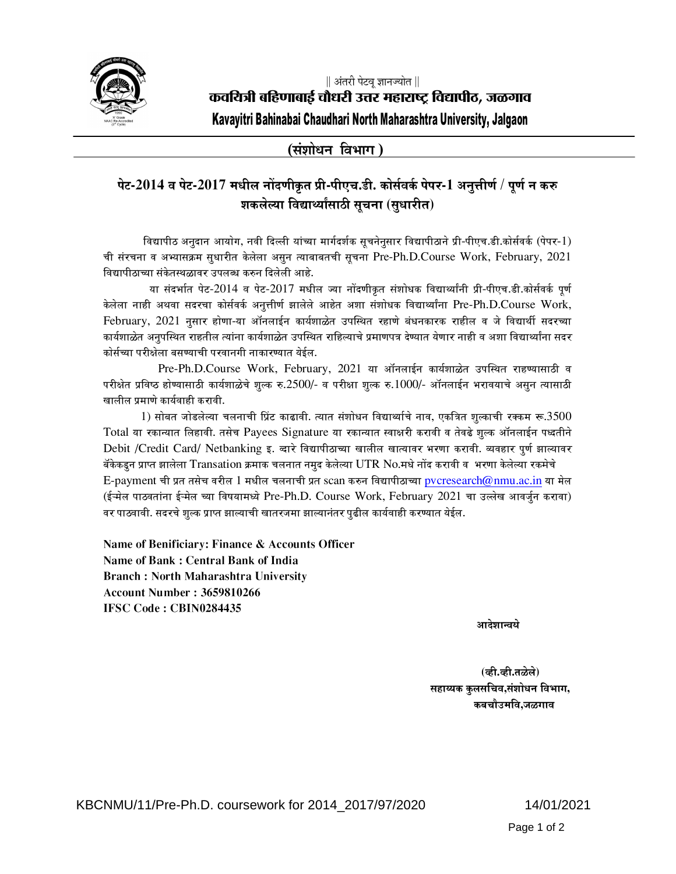

(संशोधन विभाग)

## पेट-2014 व पेट-2017 मधील नोंदणीकृत प्री-पीएच.डी. कोर्सवर्क पेपर-1 अनुत्तीर्ण / पूर्ण न करु शकलेल्या विद्यार्थ्यांसाठी सूचना (सुधारीत)

विद्यापीठ अनुदान आयोग, नवी दिल्ली यांच्या मार्गदर्शक सूचनेनुसार विद्यापीठाने प्री-पीएच.डी.कोर्सवर्क (पेपर-1) ची संरचना व अभ्यासक्रम सूधारीत केलेला असून त्याबाबतची सूचना Pre-Ph.D.Course Work, February, 2021 विद्यापीठाच्या संकेतस्थळावर उपलब्ध करुन दिलेली आहे.

या संदर्भात पेट-2014 व पेट-2017 मधील ज्या नोंदणीकृत संशोधक विद्यार्थ्यांनी प्री-पीएच.डी.कोर्सवर्क पूर्ण केलेला नाही अथवा सदरचा कोर्सवर्क अनूत्तीर्ण झालेले आहेत अशा संशोधक विद्यार्थ्यांना Pre-Ph.D.Course Work, February, 2021 नुसार होणा-या ऑनलाईन कार्यशाळेत उपस्थित रहाणे बंधनकारक राहील व जे विद्यार्थी सदरच्या कार्यशाळेत अनुपस्थित राहतील त्यांना कार्यशाळेत उपस्थित राहिल्याचे प्रमाणपत्र देण्यात येणार नाही व अशा विद्यार्थ्यांना सदर कोर्सच्या परीक्षेला बसण्याची परवानगी नाकारण्यात येईल.

Pre-Ph.D.Course Work, February, 2021 या ऑनलाईन कार्यशाळेत उपस्थित राहण्यासाठी व परीक्षेत प्रविष्ठ होण्यासाठी कार्यशाळेचे शूल्क रु.2500/- व परीक्षा शूल्क रु.1000/- ऑनलाईन भरावयाचे असून त्यासाठी खालील प्रमाणे कार्यवा**ही करावी**.

 $1)$  सोबत जोडलेल्या चलनाची प्रिंट काढावी. त्यात संशोधन विद्यार्थ्याचे नाव, एकत्रित शूल्काची रक्कम रू. $3500\,$ Total या रकान्यात लिहावी. तसेच Payees Signature या रकान्यात स्वाक्षरी करावी व तेवढे शूल्क ऑनलाईन पध्दतीने Debit /Credit Card/ Netbanking इ. दारे विद्यापीठाच्या खालील खात्यावर भरणा करावी. व्यवहार पूर्ण झाल्यावर बॅकेकडून प्राप्त झालेला Transation क्रमाक चलनात नमुद केलेल्या UTR No.मधे नोंद करावी व भरणा केलेल्या रकमेचे  $\mathrm E$ -payment ची प्रत तसेच वरील  $1$  मधील चलनाची प्रत scan करुन विद्यापीठाच्या pvcresearch@nmu.ac.in या मेल (ईऱ्मेल पाठवतांना ईऱ्मेल च्या विषयामध्ये Pre-Ph.D. Course Work, February 2021 चा उल्लेख आवर्जून करावा) वर पाठवावी. सदरचे शुल्क प्राप्त झाल्याची खातरजमा झाल्यानंतर पुढील कार्यवाही करण्यात येईल.

**Name of Benificiary: Finance & Accounts Officer Name of Bank : Central Bank of India Branch : North Maharashtra University Account Number : 3659810266 IFSC Code : CBIN0284435**

हिँदी प्राप्त कर्णाटक कर्णाटक कर्णाटक कर्णाटक कर्णाटक कर्णाटक कर्णाटक कर्णाटक कर्णाटक कर्णाटक कर्णाटक कर्णाटक क<br>अधिक कर्णाटक कर्णाटक कर्णाटक कर्णाटक कर्णाटक कर्णाटक कर्णाटक कर्णाटक कर्णाटक कर्णाटक कर्णाटक कर्णाटक कर्णाटक

(व्ही.व्ही.तळेले) सहाय्यक कुलसचिव,संशोधन विभाग, कबचौउमवि,जळगा**व**